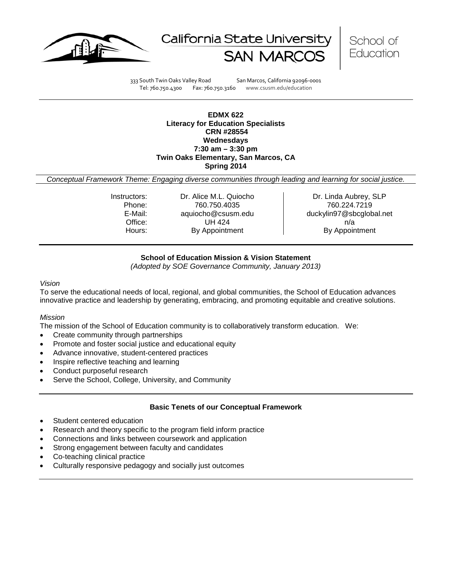





333 South Twin Oaks Valley Road San Marcos, California 92096-0001 Tel: 760.750.4300 Fax: 760.750.3160 www.csusm.edu/education

#### **EDMX 622 Literacy for Education Specialists CRN #28554 Wednesdays 7:30 am – 3:30 pm Twin Oaks Elementary, San Marcos, CA Spring 2014**

*Conceptual Framework Theme: Engaging diverse communities through leading and learning for social justice.*

Instructors: Carlice M.L. Quiocho Dr. Linda Aubrey, SLP Phone: 760.750.4035 760.224.7219<br>E-Mail: aquiocho@csusm.edu duckylin97@sbcqlob Office: UH 424 n/a Hours: By Appointment By Appointment

duckylin97@sbcglobal.net

# **School of Education Mission & Vision Statement**

*(Adopted by SOE Governance Community, January 2013)*

#### <span id="page-0-0"></span>*Vision*

To serve the educational needs of local, regional, and global communities, the School of Education advances innovative practice and leadership by generating, embracing, and promoting equitable and creative solutions.

#### *Mission*

The mission of the School of Education community is to collaboratively transform education. We:

- Create community through partnerships
- Promote and foster social justice and educational equity
- Advance innovative, student-centered practices
- Inspire reflective teaching and learning
- Conduct purposeful research
- Serve the School, College, University, and Community

#### **Basic Tenets of our Conceptual Framework**

- Student centered education
- Research and theory specific to the program field inform practice
- Connections and links between coursework and application
- Strong engagement between faculty and candidates
- Co-teaching clinical practice
- Culturally responsive pedagogy and socially just outcomes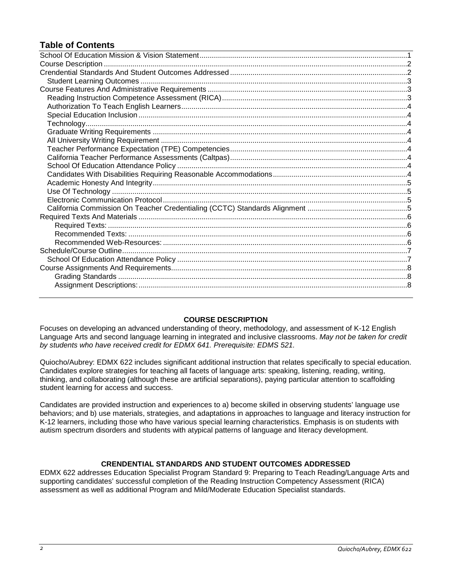# **Table of Contents**

# **COURSE DESCRIPTION**

<span id="page-1-0"></span>Focuses on developing an advanced understanding of theory, methodology, and assessment of K-12 English Language Arts and second language learning in integrated and inclusive classrooms. *May not be taken for credit by students who have received credit for EDMX 641. Prerequisite: EDMS 521.*

Quiocho/Aubrey: EDMX 622 includes significant additional instruction that relates specifically to special education. Candidates explore strategies for teaching all facets of language arts: speaking, listening, reading, writing, thinking, and collaborating (although these are artificial separations), paying particular attention to scaffolding student learning for access and success.

Candidates are provided instruction and experiences to a) become skilled in observing students' language use behaviors; and b) use materials, strategies, and adaptations in approaches to language and literacy instruction for K-12 learners, including those who have various special learning characteristics. Emphasis is on students with autism spectrum disorders and students with atypical patterns of language and literacy development.

# **CRENDENTIAL STANDARDS AND STUDENT OUTCOMES ADDRESSED**

<span id="page-1-2"></span><span id="page-1-1"></span>EDMX 622 addresses Education Specialist Program Standard 9: Preparing to Teach Reading/Language Arts and supporting candidates' successful completion of the Reading Instruction Competency Assessment (RICA) assessment as well as additional Program and Mild/Moderate Education Specialist standards.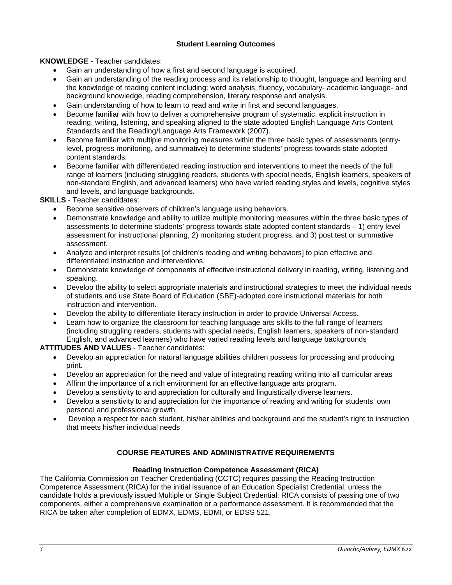# **Student Learning Outcomes**

**KNOWLEDGE** - Teacher candidates:

- Gain an understanding of how a first and second language is acquired.
- Gain an understanding of the reading process and its relationship to thought, language and learning and the knowledge of reading content including: word analysis, fluency, vocabulary- academic language- and background knowledge, reading comprehension, literary response and analysis.
- Gain understanding of how to learn to read and write in first and second languages.
- Become familiar with how to deliver a comprehensive program of systematic, explicit instruction in reading, writing, listening, and speaking aligned to the state adopted English Language Arts Content Standards and the Reading/Language Arts Framework (2007).
- Become familiar with multiple monitoring measures within the three basic types of assessments (entrylevel, progress monitoring, and summative) to determine students' progress towards state adopted content standards.
- Become familiar with differentiated reading instruction and interventions to meet the needs of the full range of learners (including struggling readers, students with special needs, English learners, speakers of non-standard English, and advanced learners) who have varied reading styles and levels, cognitive styles and levels, and language backgrounds.

# **SKILLS** - Teacher candidates:

- Become sensitive observers of children's language using behaviors.
- Demonstrate knowledge and ability to utilize multiple monitoring measures within the three basic types of assessments to determine students' progress towards state adopted content standards – 1) entry level assessment for instructional planning, 2) monitoring student progress, and 3) post test or summative assessment.
- Analyze and interpret results [of children's reading and writing behaviors] to plan effective and differentiated instruction and interventions.
- Demonstrate knowledge of components of effective instructional delivery in reading, writing, listening and speaking.
- Develop the ability to select appropriate materials and instructional strategies to meet the individual needs of students and use State Board of Education (SBE)-adopted core instructional materials for both instruction and intervention.
- Develop the ability to differentiate literacy instruction in order to provide Universal Access.
- Learn how to organize the classroom for teaching language arts skills to the full range of learners (including struggling readers, students with special needs, English learners, speakers of non-standard English, and advanced learners) who have varied reading levels and language backgrounds

#### **ATTITUDES AND VALUES** - Teacher candidates:

- Develop an appreciation for natural language abilities children possess for processing and producing print.
- Develop an appreciation for the need and value of integrating reading writing into all curricular areas
- Affirm the importance of a rich environment for an effective language arts program.
- Develop a sensitivity to and appreciation for culturally and linguistically diverse learners.
- Develop a sensitivity to and appreciation for the importance of reading and writing for students' own personal and professional growth.
- Develop a respect for each student, his/her abilities and background and the student's right to instruction that meets his/her individual needs

# **COURSE FEATURES AND ADMINISTRATIVE REQUIREMENTS**

#### **Reading Instruction Competence Assessment (RICA)**

<span id="page-2-2"></span><span id="page-2-1"></span><span id="page-2-0"></span>The California Commission on Teacher Credentialing (CCTC) requires passing the Reading Instruction Competence Assessment (RICA) for the initial issuance of an Education Specialist Credential, unless the candidate holds a previously issued Multiple or Single Subject Credential. RICA consists of passing one of two components, either a comprehensive examination or a performance assessment. It is recommended that the RICA be taken after completion of EDMX, EDMS, EDMI, or EDSS 521.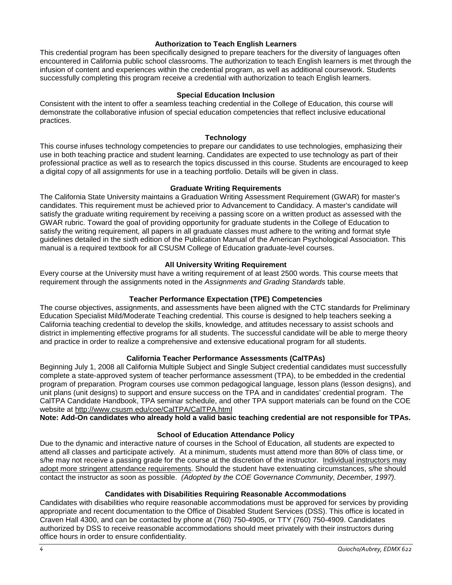#### **Authorization to Teach English Learners**

This credential program has been specifically designed to prepare teachers for the diversity of languages often encountered in California public school classrooms. The authorization to teach English learners is met through the infusion of content and experiences within the credential program, as well as additional coursework. Students successfully completing this program receive a credential with authorization to teach English learners.

## **Special Education Inclusion**

<span id="page-3-0"></span>Consistent with the intent to offer a seamless teaching credential in the College of Education, this course will demonstrate the collaborative infusion of special education competencies that reflect inclusive educational practices.

#### **Technology**

<span id="page-3-1"></span>This course infuses technology competencies to prepare our candidates to use technologies, emphasizing their use in both teaching practice and student learning. Candidates are expected to use technology as part of their professional practice as well as to research the topics discussed in this course. Students are encouraged to keep a digital copy of all assignments for use in a teaching portfolio. Details will be given in class.

#### **Graduate Writing Requirements**

<span id="page-3-2"></span>The California State University maintains a Graduation Writing Assessment Requirement (GWAR) for master's candidates. This requirement must be achieved prior to Advancement to Candidacy. A master's candidate will satisfy the graduate writing requirement by receiving a passing score on a written product as assessed with the GWAR rubric. Toward the goal of providing opportunity for graduate students in the College of Education to satisfy the writing requirement, all papers in all graduate classes must adhere to the writing and format style guidelines detailed in the sixth edition of the Publication Manual of the American Psychological Association. This manual is a required textbook for all CSUSM College of Education graduate-level courses.

## **All University Writing Requirement**

<span id="page-3-3"></span>Every course at the University must have a writing requirement of at least 2500 words. This course meets that requirement through the assignments noted in the *Assignments and Grading Standards* table.

# **Teacher Performance Expectation (TPE) Competencies**

<span id="page-3-4"></span>The course objectives, assignments, and assessments have been aligned with the CTC standards for Preliminary Education Specialist Mild/Moderate Teaching credential. This course is designed to help teachers seeking a California teaching credential to develop the skills, knowledge, and attitudes necessary to assist schools and district in implementing effective programs for all students. The successful candidate will be able to merge theory and practice in order to realize a comprehensive and extensive educational program for all students.

# **California Teacher Performance Assessments (CalTPAs)**

<span id="page-3-5"></span>Beginning July 1, 2008 all California Multiple Subject and Single Subject credential candidates must successfully complete a state-approved system of teacher performance assessment (TPA), to be embedded in the credential program of preparation. Program courses use common pedagogical language, lesson plans (lesson designs), and unit plans (unit designs) to support and ensure success on the TPA and in candidates' credential program. The CalTPA Candidate Handbook, TPA seminar schedule, and other TPA support materials can be found on the COE website at<http://www.csusm.edu/coe/CalTPA/CalTPA.html>

**Note: Add-On candidates who already hold a valid basic teaching credential are not responsible for TPAs.**

# **School of Education Attendance Policy**

<span id="page-3-6"></span>Due to the dynamic and interactive nature of courses in the School of Education, all students are expected to attend all classes and participate actively. At a minimum, students must attend more than 80% of class time, or s/he may not receive a passing grade for the course at the discretion of the instructor. Individual instructors may adopt more stringent attendance requirements. Should the student have extenuating circumstances, s/he should contact the instructor as soon as possible. *(Adopted by the COE Governance Community, December, 1997).*

#### **Candidates with Disabilities Requiring Reasonable Accommodations**

<span id="page-3-8"></span><span id="page-3-7"></span>Candidates with disabilities who require reasonable accommodations must be approved for services by providing appropriate and recent documentation to the Office of Disabled Student Services (DSS). This office is located in Craven Hall 4300, and can be contacted by phone at (760) 750-4905, or TTY (760) 750-4909. Candidates authorized by DSS to receive reasonable accommodations should meet privately with their instructors during office hours in order to ensure confidentiality.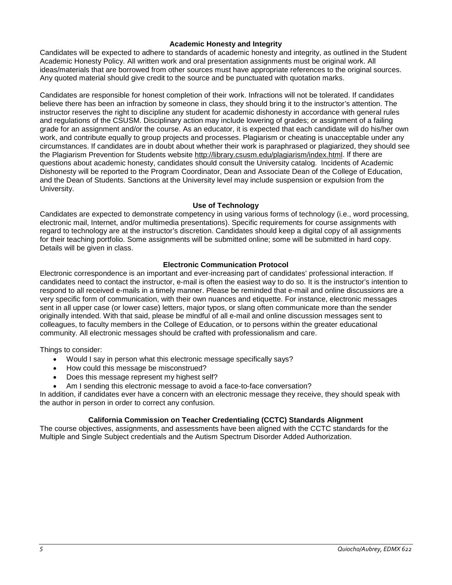#### **Academic Honesty and Integrity**

Candidates will be expected to adhere to standards of academic honesty and integrity, as outlined in the Student Academic Honesty Policy. All written work and oral presentation assignments must be original work. All ideas/materials that are borrowed from other sources must have appropriate references to the original sources. Any quoted material should give credit to the source and be punctuated with quotation marks.

Candidates are responsible for honest completion of their work. Infractions will not be tolerated. If candidates believe there has been an infraction by someone in class, they should bring it to the instructor's attention. The instructor reserves the right to discipline any student for academic dishonesty in accordance with general rules and regulations of the CSUSM. Disciplinary action may include lowering of grades; or assignment of a failing grade for an assignment and/or the course. As an educator, it is expected that each candidate will do his/her own work, and contribute equally to group projects and processes. Plagiarism or cheating is unacceptable under any circumstances. If candidates are in doubt about whether their work is paraphrased or plagiarized, they should see the Plagiarism Prevention for Students website [http://library.csusm.edu/plagiarism/index.html.](http://library.csusm.edu/plagiarism/index.html) If there are questions about academic honesty, candidates should consult the University catalog. Incidents of Academic Dishonesty will be reported to the Program Coordinator, Dean and Associate Dean of the College of Education, and the Dean of Students. Sanctions at the University level may include suspension or expulsion from the University.

## **Use of Technology**

<span id="page-4-0"></span>Candidates are expected to demonstrate competency in using various forms of technology (i.e., word processing, electronic mail, Internet, and/or multimedia presentations). Specific requirements for course assignments with regard to technology are at the instructor's discretion. Candidates should keep a digital copy of all assignments for their teaching portfolio. Some assignments will be submitted online; some will be submitted in hard copy. Details will be given in class.

## **Electronic Communication Protocol**

<span id="page-4-1"></span>Electronic correspondence is an important and ever-increasing part of candidates' professional interaction. If candidates need to contact the instructor, e-mail is often the easiest way to do so. It is the instructor's intention to respond to all received e-mails in a timely manner. Please be reminded that e-mail and online discussions are a very specific form of communication, with their own nuances and etiquette. For instance, electronic messages sent in all upper case (or lower case) letters, major typos, or slang often communicate more than the sender originally intended. With that said, please be mindful of all e-mail and online discussion messages sent to colleagues, to faculty members in the College of Education, or to persons within the greater educational community. All electronic messages should be crafted with professionalism and care.

Things to consider:

- Would I say in person what this electronic message specifically says?
- How could this message be misconstrued?
- Does this message represent my highest self?
- Am I sending this electronic message to avoid a face-to-face conversation?

In addition, if candidates ever have a concern with an electronic message they receive, they should speak with the author in person in order to correct any confusion.

#### **California Commission on Teacher Credentialing (CCTC) Standards Alignment**

<span id="page-4-3"></span><span id="page-4-2"></span>The course objectives, assignments, and assessments have been aligned with the CCTC standards for the Multiple and Single Subject credentials and the Autism Spectrum Disorder Added Authorization.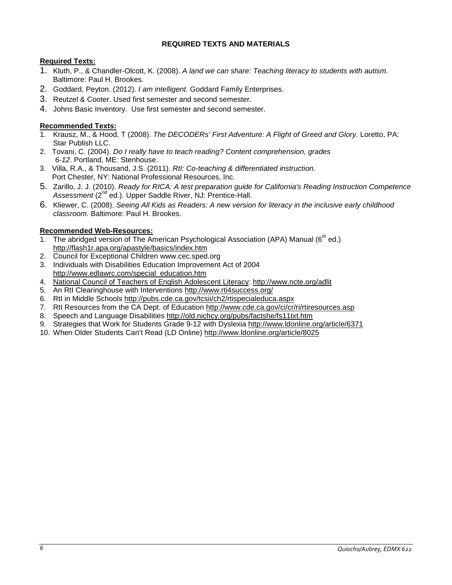# **REQUIRED TEXTS AND MATERIALS**

# <span id="page-5-0"></span>**Required Texts:**

- 1. Kluth, P., & Chandler-Olcott, K. (2008). *A land we can share: Teaching literacy to students with autism.*  Baltimore: Paul H. Brookes.
- 2. Goddard, Peyton. (2012). *I am intelligent.* Goddard Family Enterprises.
- 3. Reutzel & Cooter. Used first semester and second semester.
- 4. Johns Basic Inventory. Use first semester and second semester.

# <span id="page-5-1"></span>**Recommended Texts:**

- 1. Krausz, M., & Hood, T (2008). *The DECODERs' First Adventure: A Flight of Greed and Glory.* Loretto, PA: Star Publish LLC.
- 2. Tovani, C. (2004). *Do I really have to teach reading? Content comprehension, grades 6-12*. Portland, ME: Stenhouse.
- 3. Villa, R.A., & Thousand, J.S. (2011). *RtI: Co-teaching & differentiated instruction.*  **Port Chester, NY: National Professional Resources, Inc.**
- 5. Zarillo, J. J. (2010). *Ready for RICA: A test preparation guide for California's Reading Instruction Competence*  Assessment<sup>(2<sup>nd</sup> ed.). Upper Saddle River, NJ: Prentice-Hall.</sup>
- 6. Kliewer, C. (2008). *Seeing All Kids as Readers: A new version for literacy in the inclusive early childhood classroom.* Baltimore: Paul H. Brookes.

# <span id="page-5-2"></span>**Recommended Web-Resources:**

- 1. The abridged version of The American Psychological Association (APA) Manual (6<sup>th</sup> ed.) <http://flash1r.apa.org/apastyle/basics/index.htm>
- 2. Council for Exceptional Children [www.cec.sped.org](javascript:doWindowOpenFixStr()
- 3. [Individuals with Disabilities Education Improvement Act of 2004](http://frwebgate.access.gpo.gov/cgi-bin/getdoc.cgi?dbname=108_cong_public_laws&docid=f:publ446.108)  [http://www.edlawrc.com/special\\_education.htm](http://www.edlawrc.com/special_education.htm)
- 4. National Council of Teachers of English Adolescent Literacy:<http://www.ncte.org/adlit>
- 5. An RtI Clearinghouse with Interventions [http://www.rti4success.org/](https://copilot.csusm.edu/owa/redir.aspx?C=d562292d6f0a475d9a38bdb030fe7432&URL=http%3a%2f%2fwww.rti4success.org%2f)
- 6. RtI in Middle Schools [http://pubs.cde.ca.gov/tcsii/ch2/rtispecialeduca.aspx](https://copilot.csusm.edu/owa/redir.aspx?C=d562292d6f0a475d9a38bdb030fe7432&URL=http%3a%2f%2fpubs.cde.ca.gov%2ftcsii%2fch2%2frtispecialeduca.aspx)
- 7. RtI Resources from the CA Dept. of Education [http://www.cde.ca.gov/ci/cr/ri/rtiresources.asp](https://copilot.csusm.edu/owa/redir.aspx?C=d562292d6f0a475d9a38bdb030fe7432&URL=http%3a%2f%2fwww.cde.ca.gov%2fci%2fcr%2fri%2frtiresources.asp)
- 8. Speech and Language Disabilities<http://old.nichcy.org/pubs/factshe/fs11txt.htm>
- 9. Strategies that Work for Students Grade 9-12 with Dyslexia<http://www.ldonline.org/article/6371>
- 10. When Older Students Can't Read (LD Online)<http://www.ldonline.org/article/8025>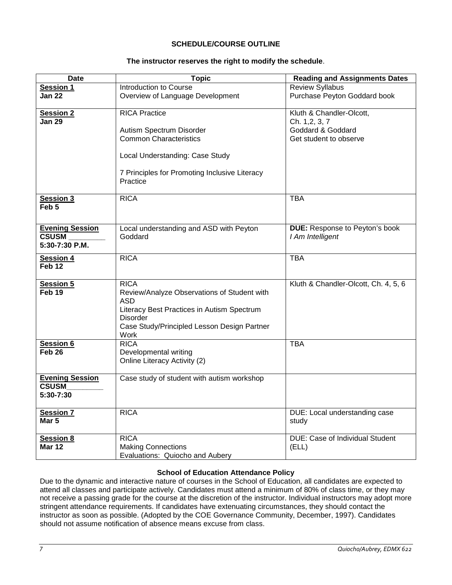# **SCHEDULE/COURSE OUTLINE**

## **The instructor reserves the right to modify the schedule**.

<span id="page-6-0"></span>

| <b>Date</b>                            | <b>Topic</b>                                              | <b>Reading and Assignments Dates</b>       |
|----------------------------------------|-----------------------------------------------------------|--------------------------------------------|
| <b>Session 1</b>                       | Introduction to Course                                    | <b>Review Syllabus</b>                     |
| <b>Jan 22</b>                          | Overview of Language Development                          | Purchase Peyton Goddard book               |
| <b>Session 2</b><br><b>Jan 29</b>      | <b>RICA Practice</b>                                      | Kluth & Chandler-Olcott,<br>Ch. 1, 2, 3, 7 |
|                                        | Autism Spectrum Disorder                                  | Goddard & Goddard                          |
|                                        | <b>Common Characteristics</b>                             | Get student to observe                     |
|                                        |                                                           |                                            |
|                                        | Local Understanding: Case Study                           |                                            |
|                                        | 7 Principles for Promoting Inclusive Literacy<br>Practice |                                            |
| Session 3<br>Feb <sub>5</sub>          | <b>RICA</b>                                               | <b>TBA</b>                                 |
| <b>Evening Session</b>                 | Local understanding and ASD with Peyton                   | <b>DUE:</b> Response to Peyton's book      |
| <b>CSUSM</b>                           | Goddard                                                   | I Am Intelligent                           |
| 5:30-7:30 P.M.                         |                                                           |                                            |
| <b>Session 4</b>                       | <b>RICA</b>                                               | <b>TBA</b>                                 |
| Feb <sub>12</sub>                      |                                                           |                                            |
| <b>Session 5</b>                       | <b>RICA</b>                                               | Kluth & Chandler-Olcott, Ch. 4, 5, 6       |
| Feb <sub>19</sub>                      | Review/Analyze Observations of Student with               |                                            |
|                                        | ASD                                                       |                                            |
|                                        | Literacy Best Practices in Autism Spectrum                |                                            |
|                                        | <b>Disorder</b>                                           |                                            |
|                                        | Case Study/Principled Lesson Design Partner               |                                            |
|                                        | Work                                                      |                                            |
| <b>Session 6</b>                       | <b>RICA</b>                                               | <b>TBA</b>                                 |
| Feb <sub>26</sub>                      | Developmental writing                                     |                                            |
|                                        | Online Literacy Activity (2)                              |                                            |
|                                        |                                                           |                                            |
| <b>Evening Session</b><br><b>CSUSM</b> | Case study of student with autism workshop                |                                            |
| 5:30-7:30                              |                                                           |                                            |
|                                        |                                                           |                                            |
| <b>Session 7</b>                       | <b>RICA</b>                                               | DUE: Local understanding case              |
| Mar <sub>5</sub>                       |                                                           | study                                      |
|                                        |                                                           |                                            |
| <b>Session 8</b>                       | <b>RICA</b>                                               | <b>DUE: Case of Individual Student</b>     |
| <b>Mar 12</b>                          | <b>Making Connections</b>                                 | (ELL)                                      |
|                                        | Evaluations: Quiocho and Aubery                           |                                            |

#### **School of Education Attendance Policy**

<span id="page-6-1"></span>Due to the dynamic and interactive nature of courses in the School of Education, all candidates are expected to attend all classes and participate actively. Candidates must attend a minimum of 80% of class time, or they may not receive a passing grade for the course at the discretion of the instructor. Individual instructors may adopt more stringent attendance requirements. If candidates have extenuating circumstances, they should contact the instructor as soon as possible. (Adopted by the COE Governance Community, December, 1997). Candidates should not assume notification of absence means excuse from class.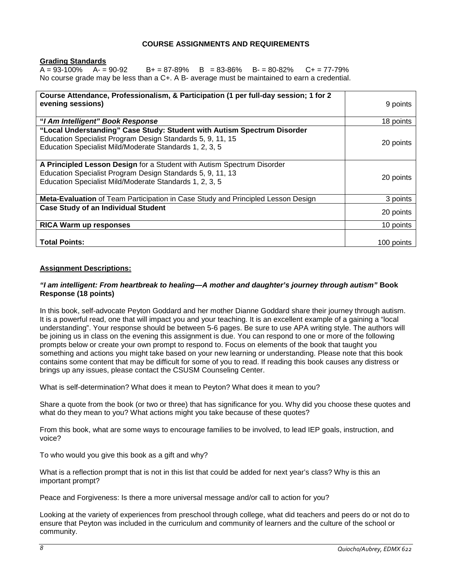#### **COURSE ASSIGNMENTS AND REQUIREMENTS**

<span id="page-7-1"></span><span id="page-7-0"></span>**<u>Grading Standards</u>**<br>A = 93-100% A- = 90-92  $B + = 87-89\%$  B = 83-86% B- = 80-82% C+ = 77-79% No course grade may be less than a C+. A B- average must be maintained to earn a credential.

| Course Attendance, Professionalism, & Participation (1 per full-day session; 1 for 2<br>evening sessions)                                                                                        | 9 points   |
|--------------------------------------------------------------------------------------------------------------------------------------------------------------------------------------------------|------------|
| "I Am Intelligent" Book Response                                                                                                                                                                 | 18 points  |
| "Local Understanding" Case Study: Student with Autism Spectrum Disorder<br>Education Specialist Program Design Standards 5, 9, 11, 15<br>Education Specialist Mild/Moderate Standards 1, 2, 3, 5 | 20 points  |
| A Principled Lesson Design for a Student with Autism Spectrum Disorder<br>Education Specialist Program Design Standards 5, 9, 11, 13<br>Education Specialist Mild/Moderate Standards 1, 2, 3, 5  | 20 points  |
| Meta-Evaluation of Team Participation in Case Study and Principled Lesson Design                                                                                                                 | 3 points   |
| <b>Case Study of an Individual Student</b>                                                                                                                                                       | 20 points  |
| RICA Warm up responses                                                                                                                                                                           | 10 points  |
| <b>Total Points:</b>                                                                                                                                                                             | 100 points |

#### <span id="page-7-2"></span>**Assignment Descriptions:**

#### *"I am intelligent: From heartbreak to healing—A mother and daughter's journey through autism"* **Book Response (18 points)**

In this book, self-advocate Peyton Goddard and her mother Dianne Goddard share their journey through autism. It is a powerful read, one that will impact you and your teaching. It is an excellent example of a gaining a "local understanding". Your response should be between 5-6 pages. Be sure to use APA writing style. The authors will be joining us in class on the evening this assignment is due. You can respond to one or more of the following prompts below or create your own prompt to respond to. Focus on elements of the book that taught you something and actions you might take based on your new learning or understanding. Please note that this book contains some content that may be difficult for some of you to read. If reading this book causes any distress or brings up any issues, please contact the CSUSM Counseling Center.

What is self-determination? What does it mean to Peyton? What does it mean to you?

Share a quote from the book (or two or three) that has significance for you. Why did you choose these quotes and what do they mean to you? What actions might you take because of these quotes?

From this book, what are some ways to encourage families to be involved, to lead IEP goals, instruction, and voice?

To who would you give this book as a gift and why?

What is a reflection prompt that is not in this list that could be added for next year's class? Why is this an important prompt?

Peace and Forgiveness: Is there a more universal message and/or call to action for you?

Looking at the variety of experiences from preschool through college, what did teachers and peers do or not do to ensure that Peyton was included in the curriculum and community of learners and the culture of the school or community.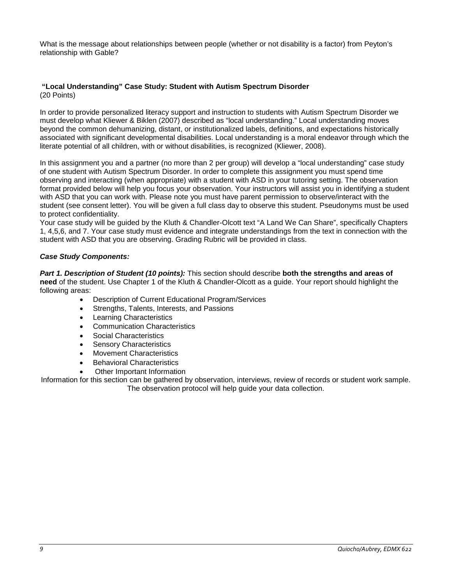What is the message about relationships between people (whether or not disability is a factor) from Peyton's relationship with Gable?

#### **"Local Understanding" Case Study: Student with Autism Spectrum Disorder**  (20 Points)

In order to provide personalized literacy support and instruction to students with Autism Spectrum Disorder we must develop what Kliewer & Biklen (2007) described as "local understanding." Local understanding moves beyond the common dehumanizing, distant, or institutionalized labels, definitions, and expectations historically associated with significant developmental disabilities. Local understanding is a moral endeavor through which the literate potential of all children, with or without disabilities, is recognized (Kliewer, 2008).

In this assignment you and a partner (no more than 2 per group) will develop a "local understanding" case study of one student with Autism Spectrum Disorder. In order to complete this assignment you must spend time observing and interacting (when appropriate) with a student with ASD in your tutoring setting. The observation format provided below will help you focus your observation. Your instructors will assist you in identifying a student with ASD that you can work with. Please note you must have parent permission to observe/interact with the student (see consent letter). You will be given a full class day to observe this student. Pseudonyms must be used to protect confidentiality.

Your case study will be guided by the Kluth & Chandler-Olcott text "A Land We Can Share", specifically Chapters 1, 4,5,6, and 7. Your case study must evidence and integrate understandings from the text in connection with the student with ASD that you are observing. Grading Rubric will be provided in class.

# *Case Study Components:*

*Part 1. Description of Student (10 points):* This section should describe **both the strengths and areas of need** of the student. Use Chapter 1 of the Kluth & Chandler-Olcott as a guide. Your report should highlight the following areas:

- Description of Current Educational Program/Services
- Strengths, Talents, Interests, and Passions
- **Learning Characteristics**
- Communication Characteristics
- Social Characteristics
- **Sensory Characteristics**
- Movement Characteristics
- Behavioral Characteristics
- Other Important Information

Information for this section can be gathered by observation, interviews, review of records or student work sample. The observation protocol will help guide your data collection.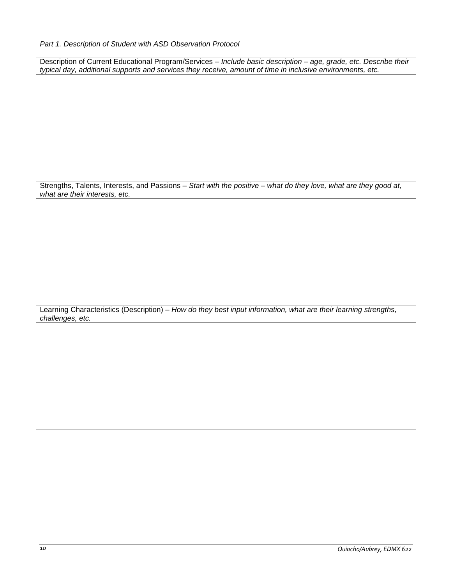| Description of Current Educational Program/Services - Include basic description - age, grade, etc. Describe their |
|-------------------------------------------------------------------------------------------------------------------|
| typical day, additional supports and services they receive, amount of time in inclusive environments, etc.        |
|                                                                                                                   |
|                                                                                                                   |
|                                                                                                                   |
|                                                                                                                   |
|                                                                                                                   |
|                                                                                                                   |
|                                                                                                                   |
|                                                                                                                   |
|                                                                                                                   |
|                                                                                                                   |
|                                                                                                                   |
| Strengths, Talents, Interests, and Passions - Start with the positive - what do they love, what are they good at, |
| what are their interests, etc.                                                                                    |
|                                                                                                                   |
|                                                                                                                   |
|                                                                                                                   |
|                                                                                                                   |
|                                                                                                                   |
|                                                                                                                   |
|                                                                                                                   |
|                                                                                                                   |
|                                                                                                                   |
|                                                                                                                   |
|                                                                                                                   |
| Learning Characteristics (Description) - How do they best input information, what are their learning strengths,   |
| challenges, etc.                                                                                                  |
|                                                                                                                   |
|                                                                                                                   |
|                                                                                                                   |
|                                                                                                                   |
|                                                                                                                   |
|                                                                                                                   |
|                                                                                                                   |
|                                                                                                                   |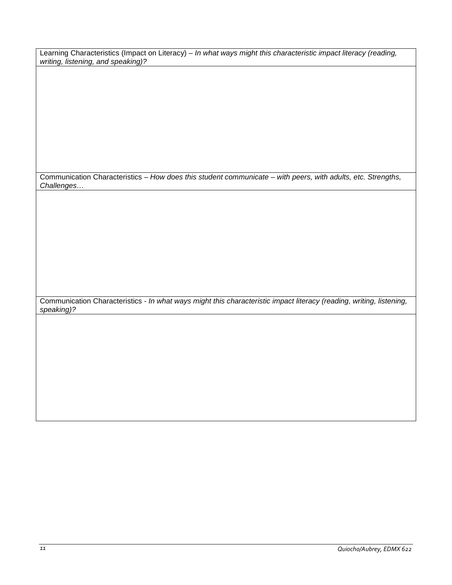Learning Characteristics (Impact on Literacy) – *In what ways might this characteristic impact literacy (reading, writing, listening, and speaking)?* 

Communication Characteristics – *How does this student communicate – with peers, with adults, etc. Strengths, Challenges…*

Communication Characteristics - *In what ways might this characteristic impact literacy (reading, writing, listening, speaking)?*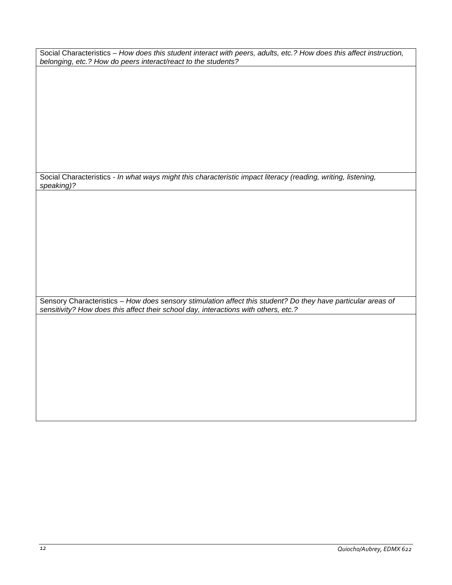Social Characteristics – *How does this student interact with peers, adults, etc.? How does this affect instruction, belonging, etc.? How do peers interact/react to the students?*

Social Characteristics - *In what ways might this characteristic impact literacy (reading, writing, listening, speaking)?*

Sensory Characteristics – *How does sensory stimulation affect this student? Do they have particular areas of sensitivity? How does this affect their school day, interactions with others, etc.?*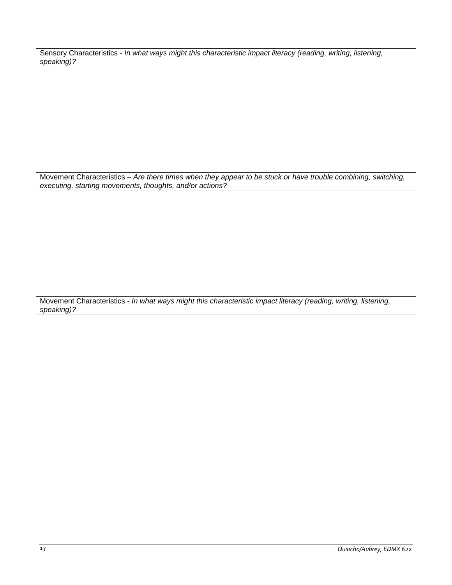| Sensory Characteristics - In what ways might this characteristic impact literacy (reading, writing, listening, |  |  |
|----------------------------------------------------------------------------------------------------------------|--|--|
| speaking)?                                                                                                     |  |  |

Movement Characteristics – *Are there times when they appear to be stuck or have trouble combining, switching, executing, starting movements, thoughts, and/or actions?* 

Movement Characteristics - *In what ways might this characteristic impact literacy (reading, writing, listening, speaking)?*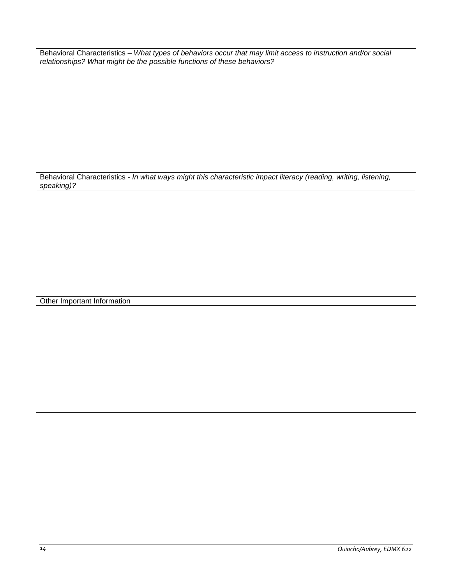Behavioral Characteristics – *What types of behaviors occur that may limit access to instruction and/or social relationships? What might be the possible functions of these behaviors?*

Behavioral Characteristics - *In what ways might this characteristic impact literacy (reading, writing, listening, speaking)?*

Other Important Information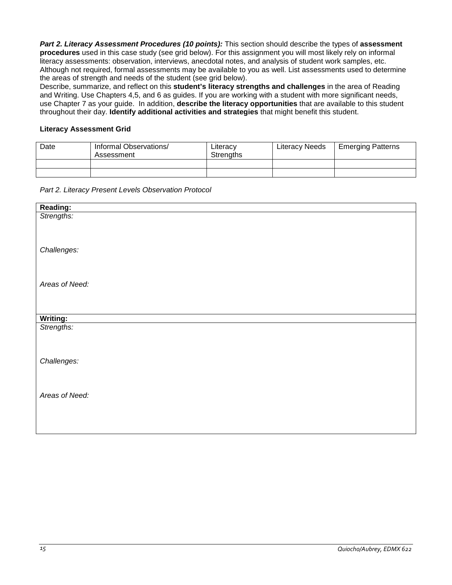*Part 2. Literacy Assessment Procedures (10 points):* This section should describe the types of **assessment procedures** used in this case study (see grid below). For this assignment you will most likely rely on informal literacy assessments: observation, interviews, anecdotal notes, and analysis of student work samples, etc. Although not required, formal assessments may be available to you as well. List assessments used to determine the areas of strength and needs of the student (see grid below).

Describe, summarize, and reflect on this **student's literacy strengths and challenges** in the area of Reading and Writing. Use Chapters 4,5, and 6 as guides. If you are working with a student with more significant needs, use Chapter 7 as your guide. In addition, **describe the literacy opportunities** that are available to this student throughout their day. **Identify additional activities and strategies** that might benefit this student.

## **Literacy Assessment Grid**

| Date | Informal Observations/<br>Assessment | Literacy<br>Strengths | <b>Literacy Needs</b> | <b>Emerging Patterns</b> |
|------|--------------------------------------|-----------------------|-----------------------|--------------------------|
|      |                                      |                       |                       |                          |
|      |                                      |                       |                       |                          |

*Part 2. Literacy Present Levels Observation Protocol* 

| Reading:       |
|----------------|
| Strengths:     |
|                |
|                |
| Challenges:    |
|                |
|                |
| Areas of Need: |
|                |
|                |
|                |
| Writing:       |
| Strengths:     |
|                |
|                |
| Challenges:    |
|                |
|                |
| Areas of Need: |
|                |
|                |
|                |
|                |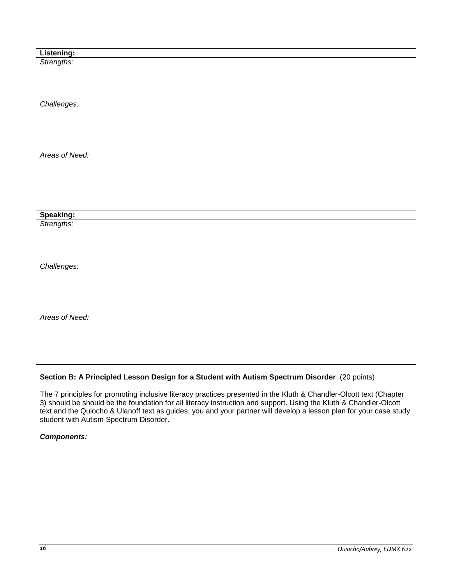| Listening:<br>Strengths: |  |
|--------------------------|--|
|                          |  |
|                          |  |
|                          |  |
|                          |  |
| Challenges:              |  |
|                          |  |
|                          |  |
|                          |  |
|                          |  |
|                          |  |
| Areas of Need:           |  |
|                          |  |
|                          |  |
|                          |  |
|                          |  |
|                          |  |
|                          |  |
| Speaking:<br>Strengths:  |  |
|                          |  |
|                          |  |
|                          |  |
|                          |  |
|                          |  |
| Challenges:              |  |
|                          |  |
|                          |  |
|                          |  |
|                          |  |
| Areas of Need:           |  |
|                          |  |
|                          |  |
|                          |  |
|                          |  |
|                          |  |

# **Section B: A Principled Lesson Design for a Student with Autism Spectrum Disorder** (20 points)

The 7 principles for promoting inclusive literacy practices presented in the Kluth & Chandler-Olcott text (Chapter 3) should be should be the foundation for all literacy instruction and support. Using the Kluth & Chandler-Olcott text and the Quiocho & Ulanoff text as guides, you and your partner will develop a lesson plan for your case study student with Autism Spectrum Disorder.

# *Components:*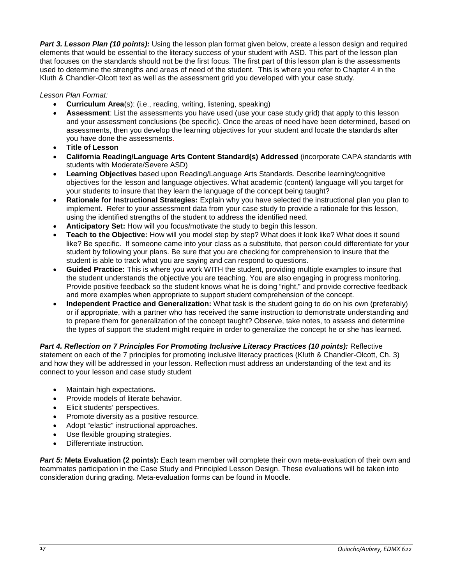*Part 3. Lesson Plan (10 points):* Using the lesson plan format given below, create a lesson design and required elements that would be essential to the literacy success of your student with ASD. This part of the lesson plan that focuses on the standards should not be the first focus. The first part of this lesson plan is the assessments used to determine the strengths and areas of need of the student. This is where you refer to Chapter 4 in the Kluth & Chandler-Olcott text as well as the assessment grid you developed with your case study.

# *Lesson Plan Format:*

- **Curriculum Area**(s): (i.e., reading, writing, listening, speaking)
- **Assessment**: List the assessments you have used (use your case study grid) that apply to this lesson and your assessment conclusions (be specific). Once the areas of need have been determined, based on assessments, then you develop the learning objectives for your student and locate the standards after you have done the assessments.
- **Title of Lesson**
- **California Reading/Language Arts Content Standard(s) Addressed** (incorporate CAPA standards with students with Moderate/Severe ASD)
- **Learning Objectives** based upon Reading/Language Arts Standards. Describe learning/cognitive objectives for the lesson and language objectives. What academic (content) language will you target for your students to insure that they learn the language of the concept being taught?
- **Rationale for Instructional Strategies:** Explain why you have selected the instructional plan you plan to implement. Refer to your assessment data from your case study to provide a rationale for this lesson, using the identified strengths of the student to address the identified need.
- **Anticipatory Set:** How will you focus/motivate the study to begin this lesson.
- **Teach to the Objective:** How will you model step by step? What does it look like? What does it sound like? Be specific. If someone came into your class as a substitute, that person could differentiate for your student by following your plans. Be sure that you are checking for comprehension to insure that the student is able to track what you are saying and can respond to questions.
- **Guided Practice:** This is where you work WITH the student, providing multiple examples to insure that the student understands the objective you are teaching. You are also engaging in progress monitoring. Provide positive feedback so the student knows what he is doing "right," and provide corrective feedback and more examples when appropriate to support student comprehension of the concept.
- **Independent Practice and Generalization:** What task is the student going to do on his own (preferably) or if appropriate, with a partner who has received the same instruction to demonstrate understanding and to prepare them for generalization of the concept taught? Observe, take notes, to assess and determine the types of support the student might require in order to generalize the concept he or she has learned*.*

*Part 4. Reflection on 7 Principles For Promoting Inclusive Literacy Practices (10 points):* Reflective statement on each of the 7 principles for promoting inclusive literacy practices (Kluth & Chandler-Olcott, Ch. 3) and how they will be addressed in your lesson. Reflection must address an understanding of the text and its connect to your lesson and case study student

- Maintain high expectations.
- Provide models of literate behavior.
- Elicit students' perspectives.
- Promote diversity as a positive resource.
- Adopt "elastic" instructional approaches.
- Use flexible grouping strategies.
- Differentiate instruction.

*Part 5:* **Meta Evaluation (2 points):** Each team member will complete their own meta-evaluation of their own and teammates participation in the Case Study and Principled Lesson Design. These evaluations will be taken into consideration during grading. Meta-evaluation forms can be found in Moodle.